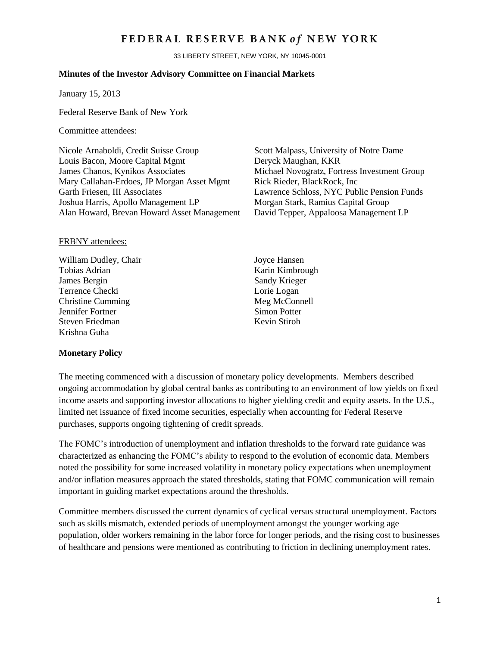# FEDERAL RESERVE BANK of NEW YORK

33 LIBERTY STREET, NEW YORK, NY 10045-0001

### **Minutes of the Investor Advisory Committee on Financial Markets**

January 15, 2013

Federal Reserve Bank of New York

### Committee attendees:

Nicole Arnaboldi, Credit Suisse Group Scott Malpass, University of Notre Dame Louis Bacon, Moore Capital Mgmt Deryck Maughan, KKR James Chanos, Kynikos Associates Michael Novogratz, Fortress Investment Group Mary Callahan-Erdoes, JP Morgan Asset Mgmt Rick Rieder, BlackRock, Inc. Garth Friesen, III Associates Lawrence Schloss, NYC Public Pension Funds Joshua Harris, Apollo Management LP<br>Alan Howard, Brevan Howard Asset Management David Tepper, Appaloosa Management LP Alan Howard, Brevan Howard Asset Management

### FRBNY attendees:

William Dudley, Chair Joyce Hansen Tobias Adrian **Karin Kimbrough** James Bergin Sandy Krieger Terrence Checki Lorie Logan<br>
Christine Cumming Meg McConnell Christine Cumming **Jennifer Fortner** Simon Potter Steven Friedman Kevin Stiroh Krishna Guha

## **Monetary Policy**

The meeting commenced with a discussion of monetary policy developments. Members described ongoing accommodation by global central banks as contributing to an environment of low yields on fixed income assets and supporting investor allocations to higher yielding credit and equity assets. In the U.S., limited net issuance of fixed income securities, especially when accounting for Federal Reserve purchases, supports ongoing tightening of credit spreads.

The FOMC's introduction of unemployment and inflation thresholds to the forward rate guidance was characterized as enhancing the FOMC's ability to respond to the evolution of economic data. Members noted the possibility for some increased volatility in monetary policy expectations when unemployment and/or inflation measures approach the stated thresholds, stating that FOMC communication will remain important in guiding market expectations around the thresholds.

Committee members discussed the current dynamics of cyclical versus structural unemployment. Factors such as skills mismatch, extended periods of unemployment amongst the younger working age population, older workers remaining in the labor force for longer periods, and the rising cost to businesses of healthcare and pensions were mentioned as contributing to friction in declining unemployment rates.